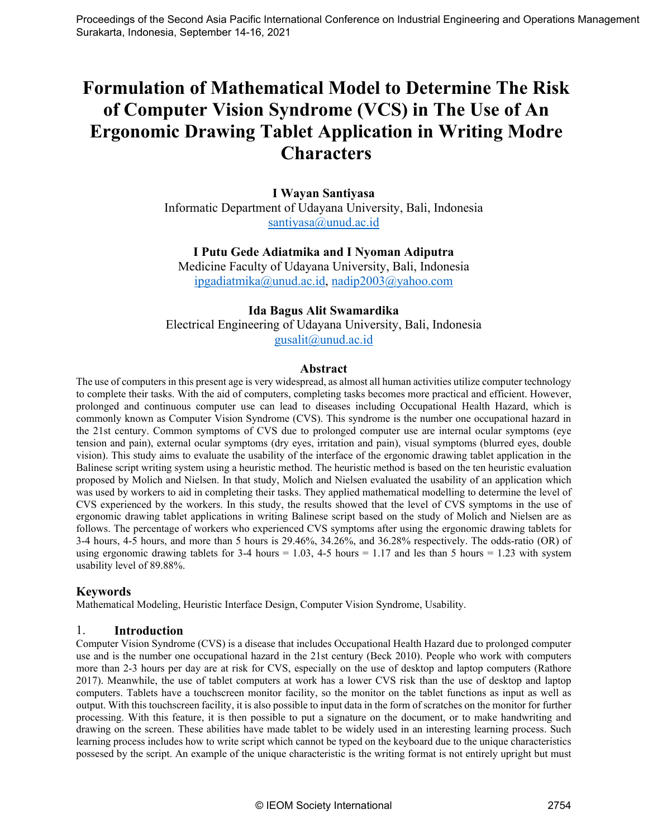# **Formulation of Mathematical Model to Determine The Risk of Computer Vision Syndrome (VCS) in The Use of An Ergonomic Drawing Tablet Application in Writing Modre Characters**

**I Wayan Santiyasa** Informatic Department of Udayana University, Bali, Indonesia [santiyasa@unud.ac.id](mailto:santiyasa@unud.ac.id)

## **I Putu Gede Adiatmika and I Nyoman Adiputra**

Medicine Faculty of Udayana University, Bali, Indonesia [ipgadiatmika@unud.ac.id,](mailto:ipgadiatmika@unud.ac.id) [nadip2003@yahoo.com](mailto:nadip2003@yahoo.com)

## **Ida Bagus Alit Swamardika**

Electrical Engineering of Udayana University, Bali, Indonesia [gusalit@unud.ac.id](mailto:gusalit@unud.ac.id)

#### **Abstract**

The use of computers in this present age is very widespread, as almost all human activities utilize computer technology to complete their tasks. With the aid of computers, completing tasks becomes more practical and efficient. However, prolonged and continuous computer use can lead to diseases including Occupational Health Hazard, which is commonly known as Computer Vision Syndrome (CVS). This syndrome is the number one occupational hazard in the 21st century. Common symptoms of CVS due to prolonged computer use are internal ocular symptoms (eye tension and pain), external ocular symptoms (dry eyes, irritation and pain), visual symptoms (blurred eyes, double vision). This study aims to evaluate the usability of the interface of the ergonomic drawing tablet application in the Balinese script writing system using a heuristic method. The heuristic method is based on the ten heuristic evaluation proposed by Molich and Nielsen. In that study, Molich and Nielsen evaluated the usability of an application which was used by workers to aid in completing their tasks. They applied mathematical modelling to determine the level of CVS experienced by the workers. In this study, the results showed that the level of CVS symptoms in the use of ergonomic drawing tablet applications in writing Balinese script based on the study of Molich and Nielsen are as follows. The percentage of workers who experienced CVS symptoms after using the ergonomic drawing tablets for 3-4 hours, 4-5 hours, and more than 5 hours is 29.46%, 34.26%, and 36.28% respectively. The odds-ratio (OR) of using ergonomic drawing tablets for  $3-4$  hours = 1.03,  $4-5$  hours = 1.17 and les than  $5$  hours = 1.23 with system usability level of 89.88%.

## **Keywords**

Mathematical Modeling, Heuristic Interface Design, Computer Vision Syndrome, Usability.

## 1. **Introduction**

Computer Vision Syndrome (CVS) is a disease that includes Occupational Health Hazard due to prolonged computer use and is the number one occupational hazard in the 21st century (Beck 2010). People who work with computers more than 2-3 hours per day are at risk for CVS, especially on the use of desktop and laptop computers (Rathore 2017). Meanwhile, the use of tablet computers at work has a lower CVS risk than the use of desktop and laptop computers. Tablets have a touchscreen monitor facility, so the monitor on the tablet functions as input as well as output. With this touchscreen facility, it is also possible to input data in the form of scratches on the monitor for further processing. With this feature, it is then possible to put a signature on the document, or to make handwriting and drawing on the screen. These abilities have made tablet to be widely used in an interesting learning process. Such learning process includes how to write script which cannot be typed on the keyboard due to the unique characteristics possesed by the script. An example of the unique characteristic is the writing format is not entirely upright but must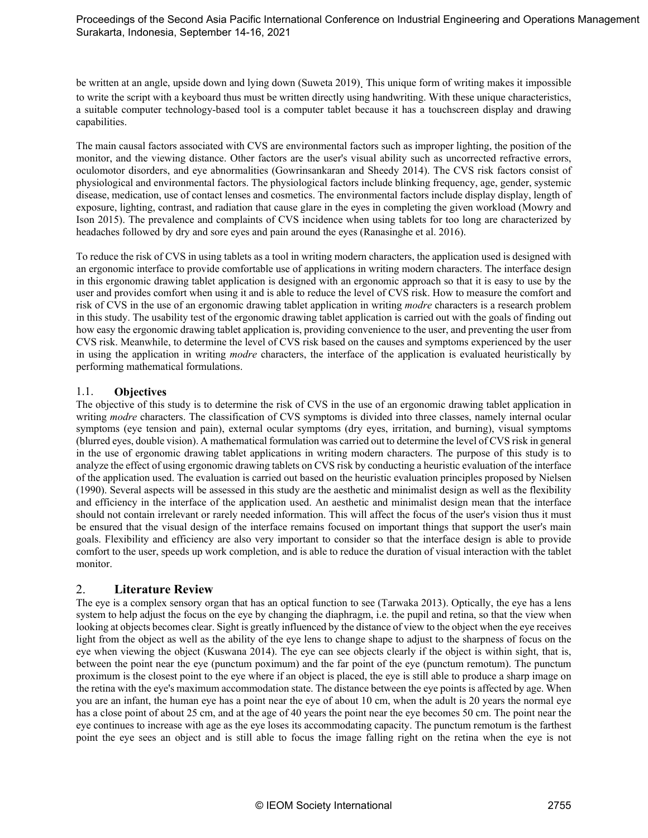be written at an angle, upside down and lying down (Suweta 2019). This unique form of writing makes it impossible to write the script with a keyboard thus must be written directly using handwriting. With these unique characteristics, a suitable computer technology-based tool is a computer tablet because it has a touchscreen display and drawing capabilities.

The main causal factors associated with CVS are environmental factors such as improper lighting, the position of the monitor, and the viewing distance. Other factors are the user's visual ability such as uncorrected refractive errors, oculomotor disorders, and eye abnormalities (Gowrinsankaran and Sheedy 2014). The CVS risk factors consist of physiological and environmental factors. The physiological factors include blinking frequency, age, gender, systemic disease, medication, use of contact lenses and cosmetics. The environmental factors include display display, length of exposure, lighting, contrast, and radiation that cause glare in the eyes in completing the given workload (Mowry and Ison 2015). The prevalence and complaints of CVS incidence when using tablets for too long are characterized by headaches followed by dry and sore eyes and pain around the eyes (Ranasinghe et al. 2016).

To reduce the risk of CVS in using tablets as a tool in writing modern characters, the application used is designed with an ergonomic interface to provide comfortable use of applications in writing modern characters. The interface design in this ergonomic drawing tablet application is designed with an ergonomic approach so that it is easy to use by the user and provides comfort when using it and is able to reduce the level of CVS risk. How to measure the comfort and risk of CVS in the use of an ergonomic drawing tablet application in writing *modre* characters is a research problem in this study. The usability test of the ergonomic drawing tablet application is carried out with the goals of finding out how easy the ergonomic drawing tablet application is, providing convenience to the user, and preventing the user from CVS risk. Meanwhile, to determine the level of CVS risk based on the causes and symptoms experienced by the user in using the application in writing *modre* characters, the interface of the application is evaluated heuristically by performing mathematical formulations.

#### 1.1. **Objectives**

The objective of this study is to determine the risk of CVS in the use of an ergonomic drawing tablet application in writing *modre* characters. The classification of CVS symptoms is divided into three classes, namely internal ocular symptoms (eye tension and pain), external ocular symptoms (dry eyes, irritation, and burning), visual symptoms (blurred eyes, double vision). A mathematical formulation was carried out to determine the level of CVS risk in general in the use of ergonomic drawing tablet applications in writing modern characters. The purpose of this study is to analyze the effect of using ergonomic drawing tablets on CVS risk by conducting a heuristic evaluation of the interface of the application used. The evaluation is carried out based on the heuristic evaluation principles proposed by Nielsen (1990). Several aspects will be assessed in this study are the aesthetic and minimalist design as well as the flexibility and efficiency in the interface of the application used. An aesthetic and minimalist design mean that the interface should not contain irrelevant or rarely needed information. This will affect the focus of the user's vision thus it must be ensured that the visual design of the interface remains focused on important things that support the user's main goals. Flexibility and efficiency are also very important to consider so that the interface design is able to provide comfort to the user, speeds up work completion, and is able to reduce the duration of visual interaction with the tablet monitor.

## 2. **Literature Review**

The eye is a complex sensory organ that has an optical function to see (Tarwaka 2013). Optically, the eye has a lens system to help adjust the focus on the eye by changing the diaphragm, i.e. the pupil and retina, so that the view when looking at objects becomes clear. Sight is greatly influenced by the distance of view to the object when the eye receives light from the object as well as the ability of the eye lens to change shape to adjust to the sharpness of focus on the eye when viewing the object (Kuswana 2014). The eye can see objects clearly if the object is within sight, that is, between the point near the eye (punctum poximum) and the far point of the eye (punctum remotum). The punctum proximum is the closest point to the eye where if an object is placed, the eye is still able to produce a sharp image on the retina with the eye's maximum accommodation state. The distance between the eye points is affected by age. When you are an infant, the human eye has a point near the eye of about 10 cm, when the adult is 20 years the normal eye has a close point of about 25 cm, and at the age of 40 years the point near the eye becomes 50 cm. The point near the eye continues to increase with age as the eye loses its accommodating capacity. The punctum remotum is the farthest point the eye sees an object and is still able to focus the image falling right on the retina when the eye is not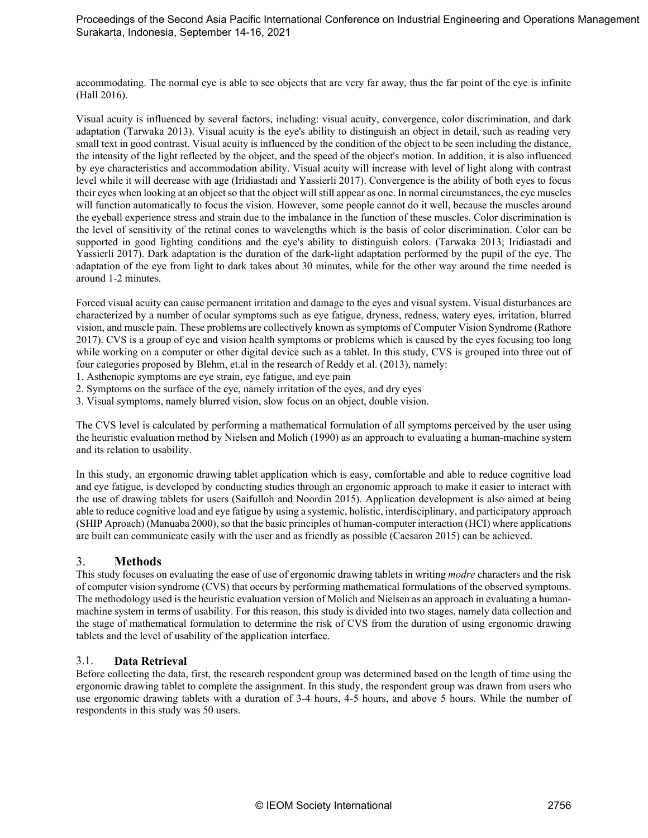accommodating. The normal eye is able to see objects that are very far away, thus the far point of the eye is infinite (Hall 2016).

Visual acuity is influenced by several factors, including: visual acuity, convergence, color discrimination, and dark adaptation (Tarwaka 2013). Visual acuity is the eye's ability to distinguish an object in detail, such as reading very small text in good contrast. Visual acuity is influenced by the condition of the object to be seen including the distance, the intensity of the light reflected by the object, and the speed of the object's motion. In addition, it is also influenced by eye characteristics and accommodation ability. Visual acuity will increase with level of light along with contrast level while it will decrease with age (Iridiastadi and Yassierli 2017). Convergence is the ability of both eyes to focus their eyes when looking at an object so that the object will still appear as one. In normal circumstances, the eye muscles will function automatically to focus the vision. However, some people cannot do it well, because the muscles around the eyeball experience stress and strain due to the imbalance in the function of these muscles. Color discrimination is the level of sensitivity of the retinal cones to wavelengths which is the basis of color discrimination. Color can be supported in good lighting conditions and the eye's ability to distinguish colors. (Tarwaka 2013; Iridiastadi and Yassierli 2017). Dark adaptation is the duration of the dark-light adaptation performed by the pupil of the eye. The adaptation of the eye from light to dark takes about 30 minutes, while for the other way around the time needed is around 1-2 minutes.

Forced visual acuity can cause permanent irritation and damage to the eyes and visual system. Visual disturbances are characterized by a number of ocular symptoms such as eye fatigue, dryness, redness, watery eyes, irritation, blurred vision, and muscle pain. These problems are collectively known as symptoms of Computer Vision Syndrome (Rathore 2017). CVS is a group of eye and vision health symptoms or problems which is caused by the eyes focusing too long while working on a computer or other digital device such as a tablet. In this study, CVS is grouped into three out of four categories proposed by Blehm, et.al in the research of Reddy et al. (2013), namely:

1. Asthenopic symptoms are eye strain, eye fatigue, and eye pain

- 2. Symptoms on the surface of the eye, namely irritation of the eyes, and dry eyes
- 3. Visual symptoms, namely blurred vision, slow focus on an object, double vision.

The CVS level is calculated by performing a mathematical formulation of all symptoms perceived by the user using the heuristic evaluation method by Nielsen and Molich (1990) as an approach to evaluating a human-machine system and its relation to usability.

In this study, an ergonomic drawing tablet application which is easy, comfortable and able to reduce cognitive load and eye fatigue, is developed by conducting studies through an ergonomic approach to make it easier to interact with the use of drawing tablets for users (Saifulloh and Noordin 2015). Application development is also aimed at being able to reduce cognitive load and eye fatigue by using a systemic, holistic, interdisciplinary, and participatory approach (SHIP Aproach) (Manuaba 2000), so that the basic principles of human-computer interaction (HCI) where applications are built can communicate easily with the user and as friendly as possible (Caesaron 2015) can be achieved.

## 3. **Methods**

This study focuses on evaluating the ease of use of ergonomic drawing tablets in writing *modre* characters and the risk of computer vision syndrome (CVS) that occurs by performing mathematical formulations of the observed symptoms. The methodology used is the heuristic evaluation version of Molich and Nielsen as an approach in evaluating a humanmachine system in terms of usability. For this reason, this study is divided into two stages, namely data collection and the stage of mathematical formulation to determine the risk of CVS from the duration of using ergonomic drawing tablets and the level of usability of the application interface.

#### 3.1. **Data Retrieval**

Before collecting the data, first, the research respondent group was determined based on the length of time using the ergonomic drawing tablet to complete the assignment. In this study, the respondent group was drawn from users who use ergonomic drawing tablets with a duration of 3-4 hours, 4-5 hours, and above 5 hours. While the number of respondents in this study was 50 users.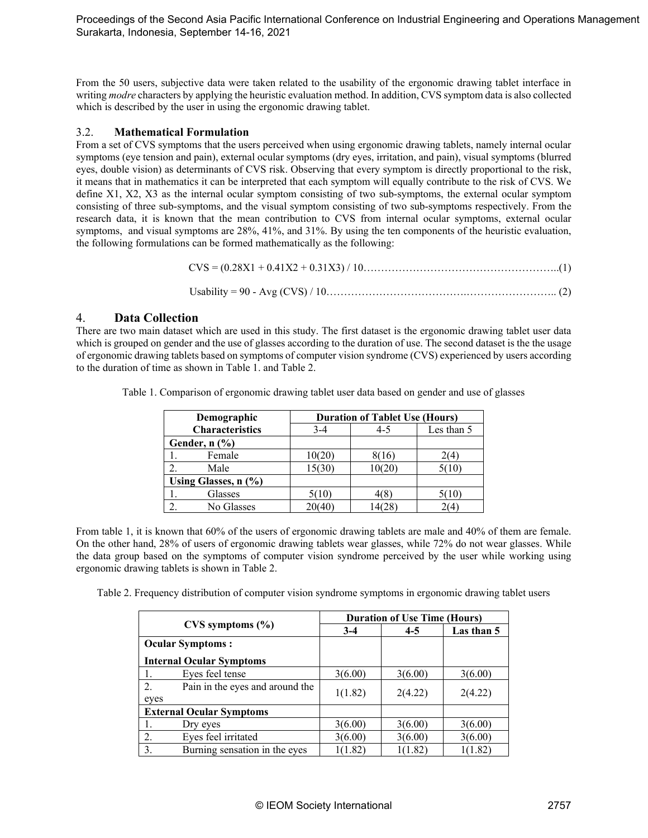From the 50 users, subjective data were taken related to the usability of the ergonomic drawing tablet interface in writing *modre* characters by applying the heuristic evaluation method. In addition, CVS symptom data is also collected which is described by the user in using the ergonomic drawing tablet.

#### 3.2. **Mathematical Formulation**

From a set of CVS symptoms that the users perceived when using ergonomic drawing tablets, namely internal ocular symptoms (eye tension and pain), external ocular symptoms (dry eyes, irritation, and pain), visual symptoms (blurred eyes, double vision) as determinants of CVS risk. Observing that every symptom is directly proportional to the risk, it means that in mathematics it can be interpreted that each symptom will equally contribute to the risk of CVS. We define X1, X2, X3 as the internal ocular symptom consisting of two sub-symptoms, the external ocular symptom consisting of three sub-symptoms, and the visual symptom consisting of two sub-symptoms respectively. From the research data, it is known that the mean contribution to CVS from internal ocular symptoms, external ocular symptoms, and visual symptoms are 28%, 41%, and 31%. By using the ten components of the heuristic evaluation, the following formulations can be formed mathematically as the following:

CVS = (0.28X1 + 0.41X2 + 0.31X3) / 10………………………………………………..(1)

Usability = 90 - Avg (CVS) / 10………………………………….…………………….. (2)

#### 4. **Data Collection**

There are two main dataset which are used in this study. The first dataset is the ergonomic drawing tablet user data which is grouped on gender and the use of glasses according to the duration of use. The second dataset is the the usage of ergonomic drawing tablets based on symptoms of computer vision syndrome (CVS) experienced by users according to the duration of time as shown in Table 1. and Table 2.

| Demographic                 | <b>Duration of Tablet Use (Hours)</b> |       |       |  |
|-----------------------------|---------------------------------------|-------|-------|--|
| <b>Characteristics</b>      | Les than 5<br>4-5<br>3-4              |       |       |  |
| Gender, $n$ $(\frac{9}{6})$ |                                       |       |       |  |
| Female                      | 10(20)                                | 8(16) |       |  |
| Male                        | 15(30)                                | 10(20 | 5(10) |  |
| Using Glasses, $n$ $(\%)$   |                                       |       |       |  |
| Glasses                     | 5(10)                                 |       | 5010  |  |
| No Glasses                  | 20(40)                                |       |       |  |

Table 1. Comparison of ergonomic drawing tablet user data based on gender and use of glasses

From table 1, it is known that 60% of the users of ergonomic drawing tablets are male and 40% of them are female. On the other hand, 28% of users of ergonomic drawing tablets wear glasses, while 72% do not wear glasses. While the data group based on the symptoms of computer vision syndrome perceived by the user while working using ergonomic drawing tablets is shown in Table 2.

Table 2. Frequency distribution of computer vision syndrome symptoms in ergonomic drawing tablet users

|                                               |                                 | <b>Duration of Use Time (Hours)</b> |         |            |  |  |
|-----------------------------------------------|---------------------------------|-------------------------------------|---------|------------|--|--|
|                                               | $CVS$ symptoms $(\% )$          |                                     | $4 - 5$ | Las than 5 |  |  |
| <b>Ocular Symptoms:</b>                       |                                 |                                     |         |            |  |  |
|                                               | <b>Internal Ocular Symptoms</b> |                                     |         |            |  |  |
| 1.                                            | Eyes feel tense                 | 3(6.00)                             | 3(6.00) | 3(6.00)    |  |  |
| 2.<br>Pain in the eyes and around the<br>eyes |                                 | 1(1.82)                             | 2(4.22) | 2(4.22)    |  |  |
|                                               | <b>External Ocular Symptoms</b> |                                     |         |            |  |  |
|                                               | Dry eyes                        | 3(6.00)                             | 3(6.00) | 3(6.00)    |  |  |
| 2.                                            | Eyes feel irritated             | 3(6.00)                             | 3(6.00) | 3(6.00)    |  |  |
| 3.                                            | Burning sensation in the eyes   | 1(1.82)                             | 1(1.82) | 1(1.82)    |  |  |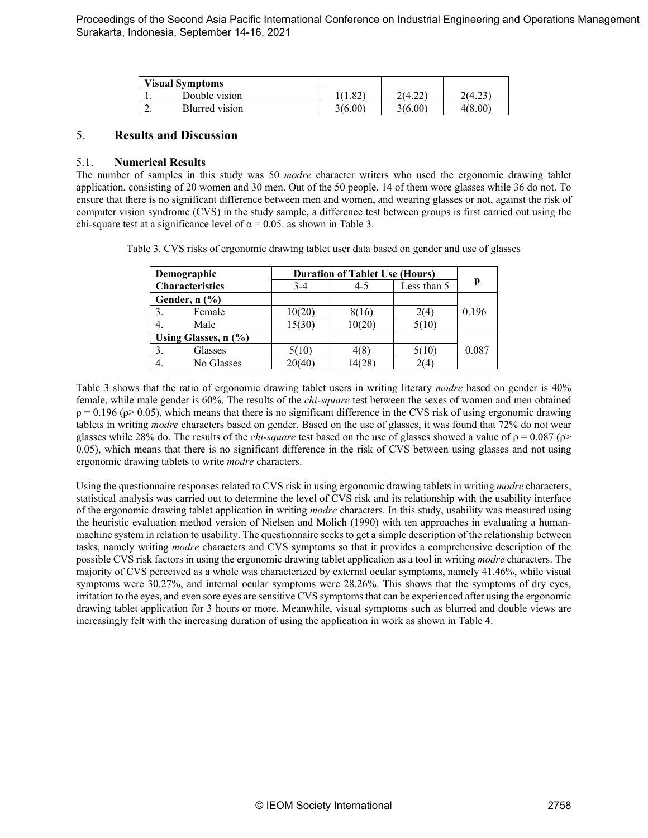|    | <b>Visual Symptoms</b> |         |         |          |
|----|------------------------|---------|---------|----------|
|    | Double vision          | 1.82    | 2(4.22) | ن ہے . ۳ |
| ,. | Blurred vision         | 3(6.00) | 3(6.00) | 4(8.00`  |

## 5. **Results and Discussion**

#### 5.1. **Numerical Results**

The number of samples in this study was 50 *modre* character writers who used the ergonomic drawing tablet application, consisting of 20 women and 30 men. Out of the 50 people, 14 of them wore glasses while 36 do not. To ensure that there is no significant difference between men and women, and wearing glasses or not, against the risk of computer vision syndrome (CVS) in the study sample, a difference test between groups is first carried out using the chi-square test at a significance level of  $\alpha = 0.05$ . as shown in Table 3.

Table 3. CVS risks of ergonomic drawing tablet user data based on gender and use of glasses

| Demographic                 | <b>Duration of Tablet Use (Hours)</b> |         |                      |       |
|-----------------------------|---------------------------------------|---------|----------------------|-------|
| <b>Characteristics</b>      | $3-4$                                 | $4 - 5$ | Less than 5          |       |
| Gender, $n$ $(\frac{9}{6})$ |                                       |         |                      |       |
| Female                      | 10(20)                                | 8616    | 2(4)                 | 0.196 |
| Male                        | 15(30)                                | 10(20)  | 5(10)                |       |
| Using Glasses, $n$ $(\%)$   |                                       |         |                      |       |
| Glasses                     | 5(10)                                 | 4(8     | 5(10)                | 0.087 |
| No Glasses                  | 20(40)                                | 14(28   | $^{\prime\prime}(4)$ |       |

Table 3 shows that the ratio of ergonomic drawing tablet users in writing literary *modre* based on gender is 40% female, while male gender is 60%. The results of the *chi-square* test between the sexes of women and men obtained  $\rho = 0.196$  ( $\rho$  > 0.05), which means that there is no significant difference in the CVS risk of using ergonomic drawing tablets in writing *modre* characters based on gender. Based on the use of glasses, it was found that 72% do not wear glasses while 28% do. The results of the *chi-square* test based on the use of glasses showed a value of  $\rho = 0.087$  ( $\rho$ > 0.05), which means that there is no significant difference in the risk of CVS between using glasses and not using ergonomic drawing tablets to write *modre* characters.

Using the questionnaire responses related to CVS risk in using ergonomic drawing tablets in writing *modre* characters, statistical analysis was carried out to determine the level of CVS risk and its relationship with the usability interface of the ergonomic drawing tablet application in writing *modre* characters. In this study, usability was measured using the heuristic evaluation method version of Nielsen and Molich (1990) with ten approaches in evaluating a humanmachine system in relation to usability. The questionnaire seeks to get a simple description of the relationship between tasks, namely writing *modre* characters and CVS symptoms so that it provides a comprehensive description of the possible CVS risk factors in using the ergonomic drawing tablet application as a tool in writing *modre* characters. The majority of CVS perceived as a whole was characterized by external ocular symptoms, namely 41.46%, while visual symptoms were 30.27%, and internal ocular symptoms were 28.26%. This shows that the symptoms of dry eyes, irritation to the eyes, and even sore eyes are sensitive CVS symptoms that can be experienced after using the ergonomic drawing tablet application for 3 hours or more. Meanwhile, visual symptoms such as blurred and double views are increasingly felt with the increasing duration of using the application in work as shown in Table 4.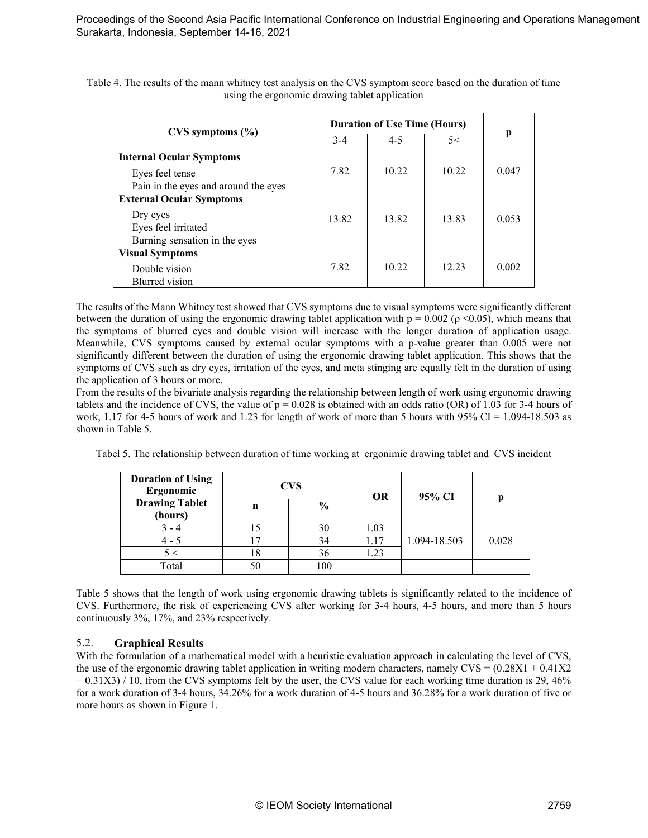|                                      | <b>Duration of Use Time (Hours)</b> |         |       |       |
|--------------------------------------|-------------------------------------|---------|-------|-------|
| $CVS$ symptoms $(\% )$               | $3-4$                               | $4 - 5$ | 5<    | p     |
| <b>Internal Ocular Symptoms</b>      |                                     |         |       |       |
| Eyes feel tense                      | 7.82                                | 10.22   | 10.22 | 0.047 |
| Pain in the eyes and around the eyes |                                     |         |       |       |
| <b>External Ocular Symptoms</b>      |                                     |         |       |       |
| Dry eyes                             | 13.82                               | 13.82   | 13.83 | 0.053 |
| Eyes feel irritated                  |                                     |         |       |       |
| Burning sensation in the eyes        |                                     |         |       |       |
| <b>Visual Symptoms</b>               |                                     |         |       |       |
| Double vision                        | 7.82                                | 10.22   | 12.23 | 0.002 |
| Blurred vision                       |                                     |         |       |       |

Table 4. The results of the mann whitney test analysis on the CVS symptom score based on the duration of time using the ergonomic drawing tablet application

The results of the Mann Whitney test showed that CVS symptoms due to visual symptoms were significantly different between the duration of using the ergonomic drawing tablet application with  $p = 0.002$  ( $\rho \le 0.05$ ), which means that the symptoms of blurred eyes and double vision will increase with the longer duration of application usage. Meanwhile, CVS symptoms caused by external ocular symptoms with a p-value greater than 0.005 were not significantly different between the duration of using the ergonomic drawing tablet application. This shows that the symptoms of CVS such as dry eyes, irritation of the eyes, and meta stinging are equally felt in the duration of using the application of 3 hours or more.

From the results of the bivariate analysis regarding the relationship between length of work using ergonomic drawing tablets and the incidence of CVS, the value of  $p = 0.028$  is obtained with an odds ratio (OR) of 1.03 for 3-4 hours of work, 1.17 for 4-5 hours of work and 1.23 for length of work of more than 5 hours with 95% CI = 1.094-18.503 as shown in Table 5.

Tabel 5. The relationship between duration of time working at ergonimic drawing tablet and CVS incident

| <b>Duration of Using</b><br>Ergonomic |    | <b>CVS</b>    | <b>OR</b> | 95% CI       |       |
|---------------------------------------|----|---------------|-----------|--------------|-------|
| <b>Drawing Tablet</b><br>(hours)      | n  | $\frac{6}{9}$ |           |              |       |
|                                       |    | 30            | 1.03      |              |       |
| $4 - 5$                               |    | 34            | 1.17      | 1.094-18.503 | 0.028 |
| 5 <                                   | 18 | 36            | 1.23      |              |       |
| Total                                 | 50 | 100           |           |              |       |

Table 5 shows that the length of work using ergonomic drawing tablets is significantly related to the incidence of CVS. Furthermore, the risk of experiencing CVS after working for 3-4 hours, 4-5 hours, and more than 5 hours continuously 3%, 17%, and 23% respectively.

#### 5.2. **Graphical Results**

With the formulation of a mathematical model with a heuristic evaluation approach in calculating the level of CVS, the use of the ergonomic drawing tablet application in writing modern characters, namely  $CVS = (0.28X1 + 0.41X2)$  $+ 0.31X3$ ) / 10, from the CVS symptoms felt by the user, the CVS value for each working time duration is 29, 46% for a work duration of 3-4 hours, 34.26% for a work duration of 4-5 hours and 36.28% for a work duration of five or more hours as shown in Figure 1.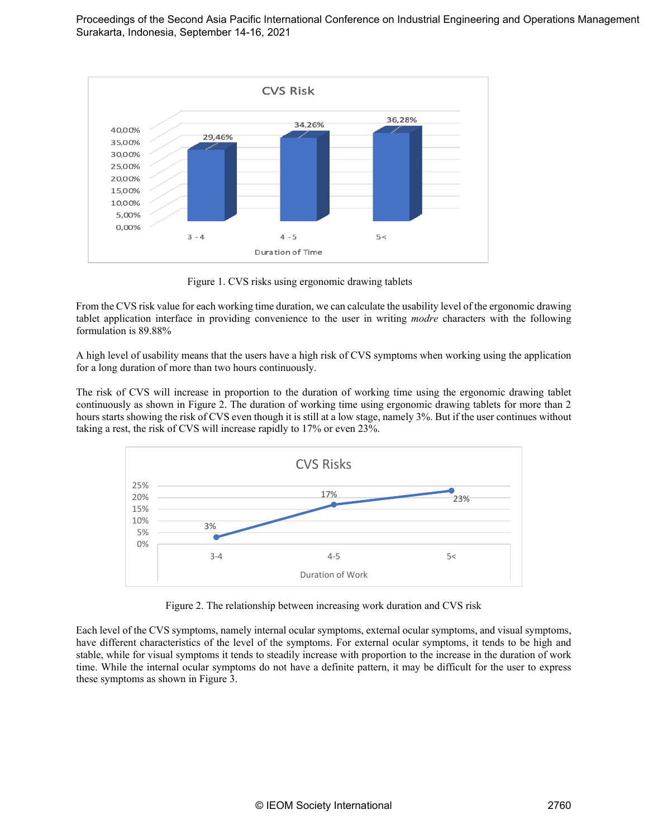

Figure 1. CVS risks using ergonomic drawing tablets

From the CVS risk value for each working time duration, we can calculate the usability level of the ergonomic drawing tablet application interface in providing convenience to the user in writing *modre* characters with the following formulation is 89.88%

A high level of usability means that the users have a high risk of CVS symptoms when working using the application for a long duration of more than two hours continuously.

The risk of CVS will increase in proportion to the duration of working time using the ergonomic drawing tablet continuously as shown in Figure 2. The duration of working time using ergonomic drawing tablets for more than 2 hours starts showing the risk of CVS even though it is still at a low stage, namely 3%. But if the user continues without taking a rest, the risk of CVS will increase rapidly to 17% or even 23%.



Figure 2. The relationship between increasing work duration and CVS risk

Each level of the CVS symptoms, namely internal ocular symptoms, external ocular symptoms, and visual symptoms, have different characteristics of the level of the symptoms. For external ocular symptoms, it tends to be high and stable, while for visual symptoms it tends to steadily increase with proportion to the increase in the duration of work time. While the internal ocular symptoms do not have a definite pattern, it may be difficult for the user to express these symptoms as shown in Figure 3.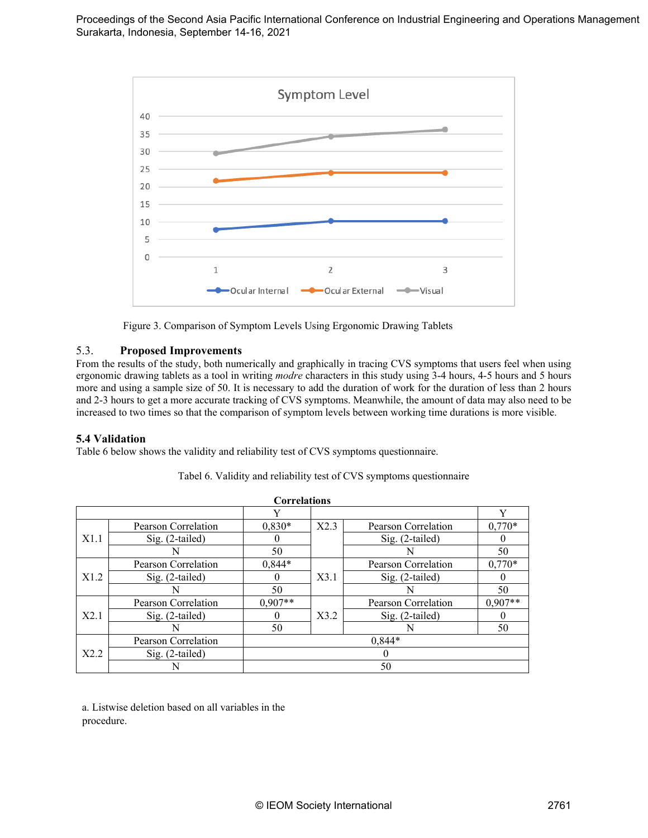



## 5.3. **Proposed Improvements**

From the results of the study, both numerically and graphically in tracing CVS symptoms that users feel when using ergonomic drawing tablets as a tool in writing *modre* characters in this study using 3-4 hours, 4-5 hours and 5 hours more and using a sample size of 50. It is necessary to add the duration of work for the duration of less than 2 hours and 2-3 hours to get a more accurate tracking of CVS symptoms. Meanwhile, the amount of data may also need to be increased to two times so that the comparison of symptom levels between working time durations is more visible.

## **5.4 Validation**

Table 6 below shows the validity and reliability test of CVS symptoms questionnaire.

| <b>Correlations</b> |                     |           |      |                     |           |
|---------------------|---------------------|-----------|------|---------------------|-----------|
|                     |                     |           |      |                     | v         |
|                     | Pearson Correlation | $0,830*$  | X2.3 | Pearson Correlation | $0,770*$  |
| X1.1                | Sig. (2-tailed)     |           |      | Sig. (2-tailed)     |           |
|                     |                     | 50        |      | N                   | 50        |
|                     | Pearson Correlation | $0,844*$  |      | Pearson Correlation | $0,770*$  |
| X1.2                | Sig. (2-tailed)     |           | X3.1 | Sig. (2-tailed)     |           |
|                     |                     | 50        |      |                     | 50        |
|                     | Pearson Correlation | $0,907**$ |      | Pearson Correlation | $0,907**$ |
| X2.1                | Sig. (2-tailed)     |           | X3.2 | Sig. (2-tailed)     |           |
|                     |                     | 50        |      |                     | 50        |
|                     | Pearson Correlation | $0,844*$  |      |                     |           |
| X2.2                | Sig. (2-tailed)     |           |      |                     |           |
|                     |                     | 50        |      |                     |           |

#### Tabel 6. Validity and reliability test of CVS symptoms questionnaire

a. Listwise deletion based on all variables in the procedure.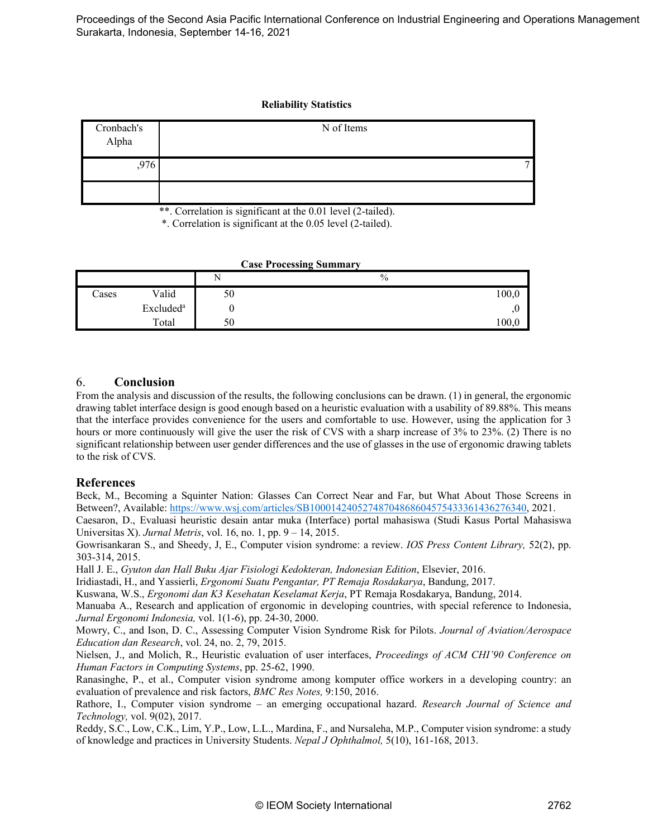#### **Reliability Statistics**

| Cronbach's<br>Alpha | N of Items |
|---------------------|------------|
| ,976                |            |
|                     |            |

\*\*. Correlation is significant at the 0.01 level (2-tailed).

\*. Correlation is significant at the 0.05 level (2-tailed).

| <b>Case Processing Summary</b> |                       |    |               |  |
|--------------------------------|-----------------------|----|---------------|--|
|                                |                       | N  | $\frac{0}{0}$ |  |
| Cases                          | Valid                 | 50 | 100,0         |  |
|                                | Excluded <sup>a</sup> |    |               |  |
|                                | Total                 | 50 | 100.          |  |

## 6. **Conclusion**

From the analysis and discussion of the results, the following conclusions can be drawn. (1) in general, the ergonomic drawing tablet interface design is good enough based on a heuristic evaluation with a usability of 89.88%. This means that the interface provides convenience for the users and comfortable to use. However, using the application for 3 hours or more continuously will give the user the risk of CVS with a sharp increase of 3% to 23%. (2) There is no significant relationship between user gender differences and the use of glasses in the use of ergonomic drawing tablets to the risk of CVS.

## **References**

Beck, M., Becoming a Squinter Nation: Glasses Can Correct Near and Far, but What About Those Screens in Between?, Available[: https://www.wsj.com/articles/SB10001424052748704868604575433361436276340,](https://www.wsj.com/articles/SB10001424052748704868604575433361436276340) 2021.

Caesaron, D., Evaluasi heuristic desain antar muka (Interface) portal mahasiswa (Studi Kasus Portal Mahasiswa Universitas X). *Jurnal Metris*, vol. 16, no. 1, pp. 9 – 14, 2015.

Gowrisankaran S., and Sheedy, J, E., Computer vision syndrome: a review. *IOS Press Content Library,* 52(2), pp. 303-314, 2015.

Hall J. E., *Gyuton dan Hall Buku Ajar Fisiologi Kedokteran, Indonesian Edition*, Elsevier, 2016.

Iridiastadi, H., and Yassierli, *Ergonomi Suatu Pengantar, PT Remaja Rosdakarya*, Bandung, 2017.

Kuswana, W.S., *Ergonomi dan K3 Kesehatan Keselamat Kerja*, PT Remaja Rosdakarya, Bandung, 2014.

Manuaba A., Research and application of ergonomic in developing countries, with special reference to Indonesia, *Jurnal Ergonomi Indonesia,* vol. 1(1-6), pp. 24-30, 2000.

Mowry, C., and Ison, D. C., Assessing Computer Vision Syndrome Risk for Pilots. *Journal of Aviation/Aerospace Education dan Research*, vol. 24, no. 2, 79, 2015.

Nielsen, J., and Molich, R., Heuristic evaluation of user interfaces, *Proceedings of ACM CHI'90 Conference on Human Factors in Computing Systems*, pp. 25-62, 1990.

Ranasinghe, P., et al., Computer vision syndrome among komputer office workers in a developing country: an evaluation of prevalence and risk factors, *BMC Res Notes,* 9:150, 2016.

Rathore, I., Computer vision syndrome – an emerging occupational hazard. *Research Journal of Science and Technology,* vol. 9(02), 2017.

Reddy, S.C., Low, C.K., Lim, Y.P., Low, L.L., Mardina, F., and Nursaleha, M.P., Computer vision syndrome: a study of knowledge and practices in University Students. *Nepal J Ophthalmol,* 5(10), 161-168, 2013.